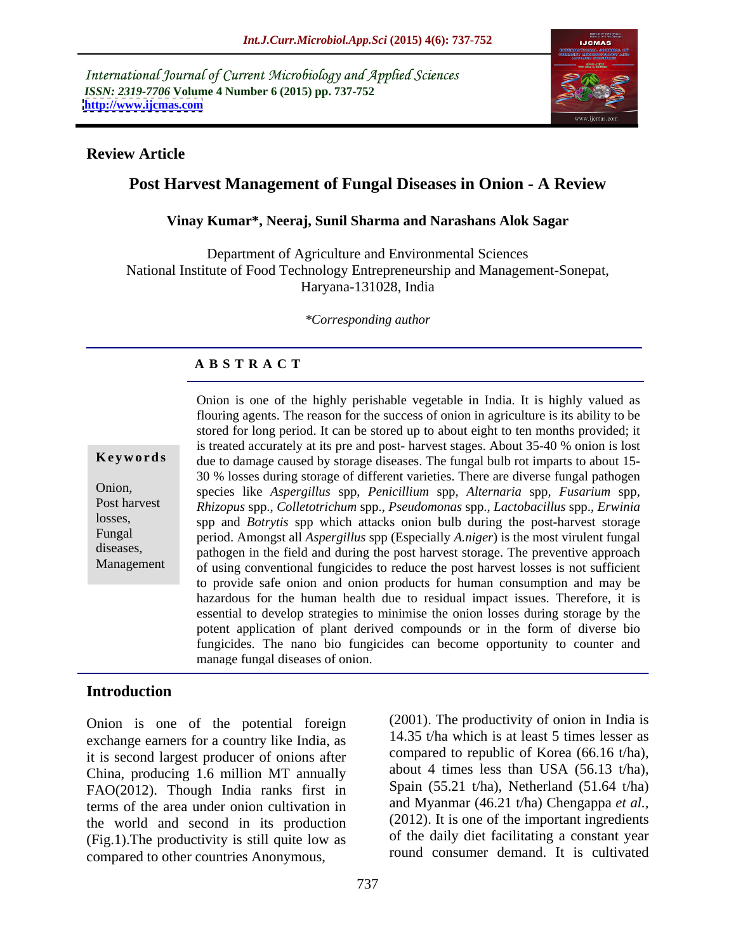International Journal of Current Microbiology and Applied Sciences *ISSN: 2319-7706* **Volume 4 Number 6 (2015) pp. 737-752 <http://www.ijcmas.com>**



### **Review Article**

# **Post Harvest Management of Fungal Diseases in Onion - A Review**

### **Vinay Kumar\*, Neeraj, Sunil Sharma and Narashans Alok Sagar**

Department of Agriculture and Environmental Sciences National Institute of Food Technology Entrepreneurship and Management-Sonepat, Haryana-131028, India

*\*Corresponding author* 

# **A B S T R A C T**

Management

Onion is one of the highly perishable vegetable in India. It is highly valued as flouring agents. The reason for the success of onion in agriculture is its ability to be stored for long period. It can be stored up to about eight to ten months provided; it is treated accurately at its pre and post- harvest stages. About 35-40 % onion is lost **Keywords** due to damage caused by storage diseases. The fungal bulb rot imparts to about 15-30 % losses during storage of different varieties. There are diverse fungal pathogen species like Aspergillus spp, Penicillium spp, Alternaria spp, Fusarium spp,<br>Rhizopus-spp., Colletotrichum-spp., Pseudomonas-spp., Lactobacillus-spp., Erwinia losses, spp and *Botrytis* spp which attacks onion bulb during the post-harvest storage Fungal period. Amongst all *Aspergillus* spp (Especially *A.niger*) is the most virulent fungal diseases, have pathogen in the field and during the post harvest storage. The preventive approach of using conventional fungicides to reduce the post harvest losses is not sufficient to provide safe onion and onion products for human consumption and may be hazardous for the human health due to residual impact issues. Therefore, it is essential to develop strategies to minimise the onion losses during storage by the potent application of plant derived compounds or in the form of diverse bio fungicides. The nano bio fungicides can become opportunity to counter and manage fungal diseases of onion. Onion, species like Aspergillus spp. Penicillium spp. Alternaria spp. Fusarium spp. Post harvest Rhizopus spp., Colletotrichum spp., Pseudomonas spp., Lactobacillus spp., Erwinia

# **Introduction**

Onion is one of the potential foreign exchange earners for a country like India, as it is second largest producer of onions after China, producing 1.6 million MT annually FAO(2012). Though India ranks first in terms of the area under onion cultivation in the world and second in its production (Fig.1).The productivity is still quite low as compared to other countries Anonymous,

(2001). The productivity of onion in India is 14.35 t/ha which is at least 5 times lesser as compared to republic of Korea (66.16 t/ha), about 4 times less than USA (56.13 t/ha), Spain  $(55.21 \text{ t/ha})$ , Netherland  $(51.64 \text{ t/ha})$ and Myanmar (46.21 t/ha) Chengappa *et al.,* (2012). It is one of the important ingredients of the daily diet facilitating a constant year round consumer demand. It is cultivated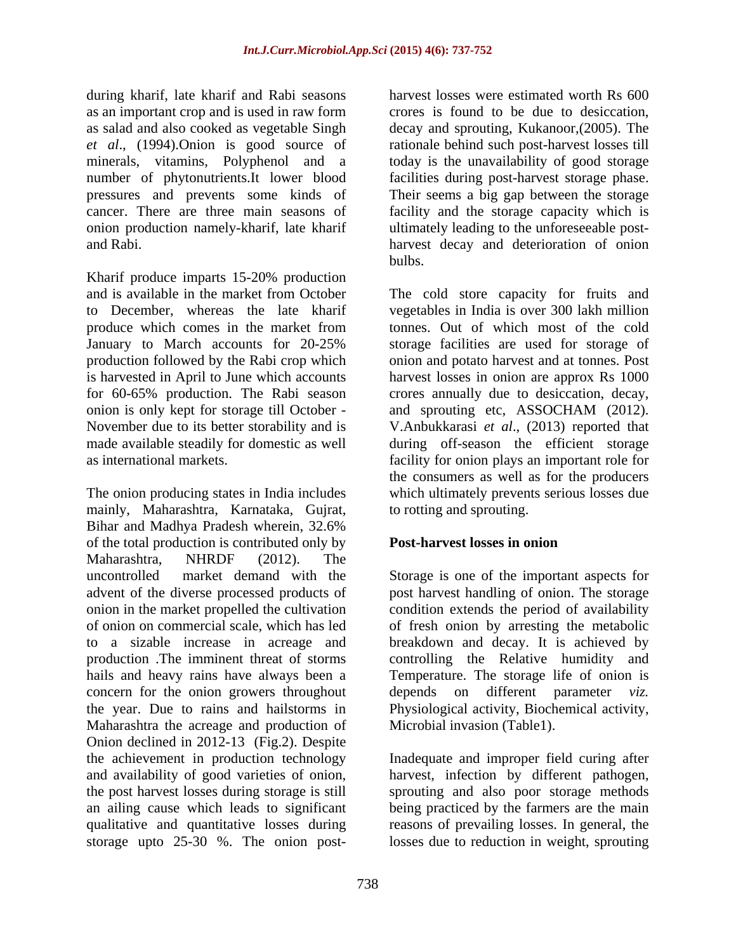during kharif, late kharif and Rabi seasons as an important crop and is used in raw form as salad and also cooked as vegetable Singh decay and sprouting, Kukanoor,(2005). The *et al*., (1994).Onion is good source of rationale behind such post-harvest losses till minerals, vitamins, Polyphenol and a today is the unavailability of good storage number of phytonutrients.It lower blood facilities during post-harvest storage phase. pressures and prevents some kinds of Their seems a big gap between the storage cancer. There are three main seasons of facility and the storage capacity which is onion production namely-kharif, late kharif and Rabi. harvest decay and deterioration of onion

Kharif produce imparts 15-20% production produce which comes in the market from onion is only kept for storage till October - and sprouting etc, ASSOCHAM (2012).

The onion producing states in India includes mainly, Maharashtra, Karnataka, Gujrat, Bihar and Madhya Pradesh wherein, 32.6% of the total production is contributed only by **Post-harvest losses in onion** Maharashtra, NHRDF (2012). The uncontrolled market demand with the Storage is one of the important aspects for advent of the diverse processed products of post harvest handling of onion. The storage onion in the market propelled the cultivation condition extends the period of availability of onion on commercial scale, which has led of fresh onion by arresting the metabolic to a sizable increase in acreage and breakdown and decay. It is achieved by production .The imminent threat of storms hails and heavy rains have always been a Temperature. The storage life of onion is concern for the onion growers throughout depends on different parameter *viz*. the year. Due to rains and hailstorms in Physiological activity, Biochemical activity, Maharashtra the acreage and production of Onion declined in 2012-13 (Fig.2). Despite the achievement in production technology Inadequate and improper field curing after and availability of good varieties of onion, harvest, infection by different pathogen, the post harvest losses during storage is still sprouting and also poor storage methods an ailing cause which leads to significant being practiced by the farmers are the main qualitative and quantitative losses during reasons of prevailing losses. In general, the storage upto 25-30 %. The onion post-

harvest losses were estimated worth Rs 600 crores is found to be due to desiccation, ultimately leading to the unforeseeable post bulbs.

and is available in the market from October The cold store capacity for fruits and to December, whereas the late kharif vegetables in India is over 300 lakh million January to March accounts for 20-25% storage facilities are used for storage of production followed by the Rabi crop which onion and potato harvest and at tonnes. Post is harvested in April to June which accounts harvest losses in onion are approx Rs 1000 for 60-65% production. The Rabi season crores annually due to desiccation, decay, November due to its better storability and is V.Anbukkarasi *et al*., (2013) reported that made available steadily for domestic as well during off-season the efficient storage as international markets. facility for onion plays an important role for tonnes. Out of which most of the cold and sprouting etc, ASSOCHAM (2012). the consumers as well as for the producers which ultimately prevents serious losses due to rotting and sprouting.

# **Post-harvest losses in onion**

controlling the Relative humidity and on different parameter Microbial invasion (Table1).

losses due to reduction in weight, sprouting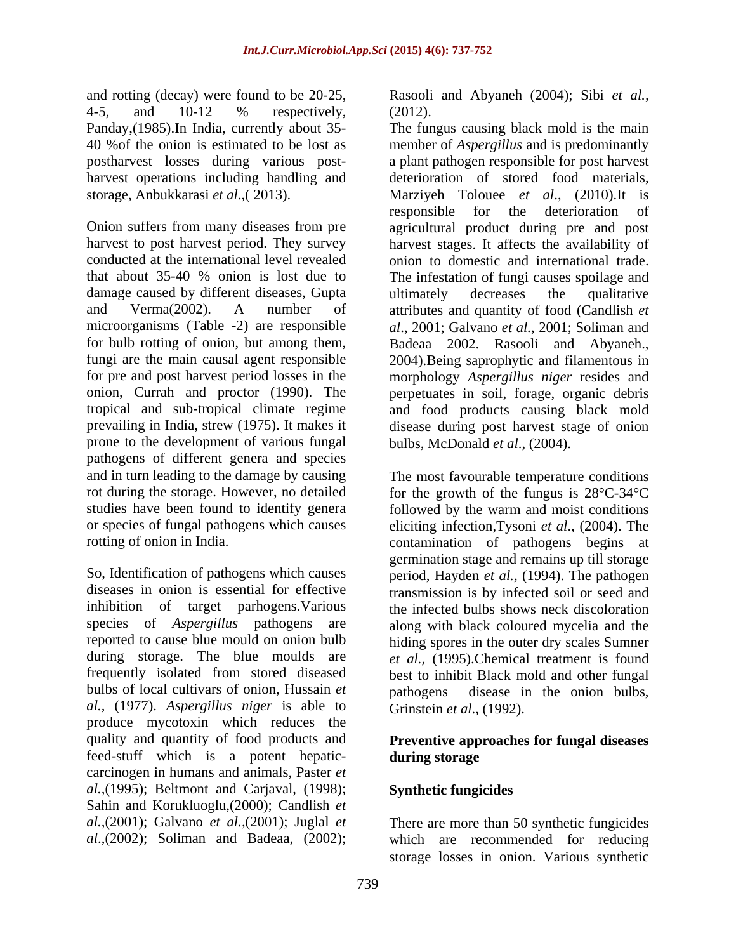and rotting (decay) were found to be 20-25, Rasooli and Abyaneh (2004); Sibi *et al.,* 4-5, and 10-12 % respectively,

damage caused by different diseases, Gupta ultimately decreases the qualitative prone to the development of various fungal pathogens of different genera and species and in turn leading to the damage by causing rot during the storage. However, no detailed for the growth of the fungus is 28°C-34°C studies have been found to identify genera followed by the warm and moist conditions or species of fungal pathogens which causes eliciting infection,Tysoni *et al*., (2004). The

bulbs of local cultivars of onion, Hussain *et al.,* (1977). *Aspergillus niger* is able to produce mycotoxin which reduces the quality and quantity of food products and **Preventive approaches for fungal diseases** feed-stuff which is a potent hepatic carcinogen in humans and animals, Paster *et al.,*(1995); Beltmont and Carjaval, (1998); Sahin and Korukluoglu, (2000); Candlish *et al.*, (2001); Juglal *et al.,*(2001); Galvano *et al.,*(2001); Juglal *et*  There are more than 50 synthetic fungicides

(2012).

Panday,(1985).In India, currently about 35- The fungus causing black mold is the main 40 %of the onion is estimated to be lost as member of *Aspergillus* and is predominantly postharvest losses during various post- a plant pathogen responsible for post harvest harvest operations including handling and deterioration of stored food materials, storage, Anbukkarasi *et al*.,( 2013). Marziyeh Tolouee *et al*., (2010).It is Onion suffers from many diseases from pre agricultural product during pre and post harvest to post harvest period. They survey harvest stages. It affects the availability of conducted at the international level revealed onion to domestic and international trade. that about 35-40 % onion is lost due to The infestation of fungi causes spoilage and and Verma(2002). A number of attributes and quantity of food (Candlish *et*  microorganisms (Table -2) are responsible *al*., 2001; Galvano *et al.*, 2001; Soliman and for bulb rotting of onion, but among them, Badeaa 2002. Rasooli and Abyaneh., fungi are the main causal agent responsible 2004).Being saprophytic and filamentous in for pre and post harvest period losses in the morphology *Aspergillus niger* resides and onion, Currah and proctor (1990). The perpetuates in soil, forage, organic debris tropical and sub-tropical climate regime and food products causing black mold prevailing in India, strew (1975). It makes it disease during post harvest stage of onion responsible for the deterioration of ultimately decreases the qualitative bulbs, McDonald *et al*., (2004).

rotting of onion in India. contamination of pathogens begins at So, Identification of pathogens which causes period, Hayden *et al.,* (1994). The pathogen diseases in onion is essential for effective transmission is by infected soil or seed and inhibition of target parhogens.Various the infected bulbs shows neck discoloration species of *Aspergillus* pathogens are along with black coloured mycelia and the reported to cause blue mould on onion bulb hiding spores in the outer dry scales Sumner during storage. The blue moulds are *et al.,* (1995).Chemical treatment is found frequently isolated from stored diseased best to inhibit Black mold and other fungal The most favourable temperature conditions germination stage and remains up till storage disease in the onion bulbs, Grinstein *et al*., (1992).

# **during storage**

# **Synthetic fungicides**

*al*.,(2002); Soliman and Badeaa, (2002); which are recommended for reducing storage losses in onion. Various synthetic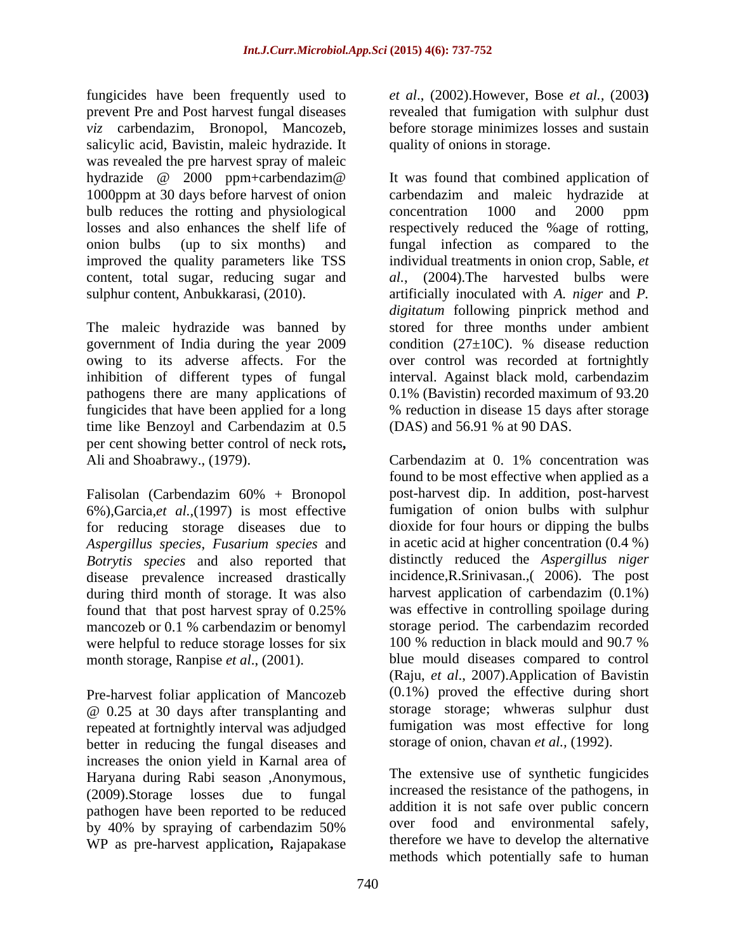fungicides have been frequently used to *et al*., (2002).However, Bose *et al.,* (2003**)** prevent Pre and Post harvest fungal diseases *viz* carbendazim, Bronopol, Mancozeb, before storage minimizes losses and sustain salicylic acid, Bavistin, maleic hydrazide. It was revealed the pre harvest spray of maleic bulb reduces the rotting and physiological concentration 1000 and 2000 ppm improved the quality parameters like TSS content, total sugar, reducing sugar and

The maleic hydrazide was banned by pathogens there are many applications of time like Benzoyl and Carbendazim at 0.5 per cent showing better control of neck rots**,** Ali and Shoabrawy., (1979). Carbendazim at 0. 1% concentration was

Falisolan (Carbendazim 60% + Bronopol 6%),Garcia,*et al.,*(1997) is most effective for reducing storage diseases due to *Aspergillus species*, *Fusarium species* and *Botrytis species* and also reported that disease prevalence increased drastically during third month of storage. It was also mancozeb or 0.1 % carbendazim or benomyl storage period. The carbendazim recorded<br>were helpful to reduce storage losses for six 100 % reduction in black mould and 90.7 % were helpful to reduce storage losses for six month storage, Ranpise *et al*., (2001).

Pre-harvest foliar application of Mancozeb @ 0.25 at 30 days after transplanting and repeated at fortnightly interval was adjudged better in reducing the fungal diseases and increases the onion yield in Karnal area of Haryana during Rabi season ,Anonymous, (2009).Storage losses due to fungal pathogen have been reported to be reduced<br>by 40% by spraying of carbendazim 50% WP as pre-harvest application**,** Rajapakase

revealed that fumigation with sulphur dust quality of onions in storage.

hydrazide @ 2000 ppm+carbendazim@ 1000ppm at 30 days before harvest of onion carbendazim and maleic hydrazide at losses and also enhances the shelf life of respectively reduced the %age of rotting, onion bulbs (up to six months) and fungal infection as compared to the sulphur content, Anbukkarasi, (2010). artificially inoculated with *A. niger* and *P.*  government of India during the year 2009 condition (27±10C).% disease reduction owing to its adverse affects. For the over control was recorded at fortnightly inhibition of different types of fungal interval. Against black mold, carbendazim fungicides that have been applied for a long % reduction in disease 15 days after storage It was found that combined application of concentration 1000 and 2000 ppm individual treatments in onion crop, Sable, *et al.*, (2004).The harvested bulbs were *digitatum* following pinprick method and stored for three months under ambient 0.1% (Bavistin) recorded maximum of 93.20 (DAS) and 56.91 % at 90 DAS.

found that that post harvest spray of 0.25% Carbendazim at 0. 1% concentration was found to be most effective when applied as a post-harvest dip. In addition, post-harvest fumigation of onion bulbs with sulphur dioxide for four hours or dipping the bulbs in acetic acid at higher concentration (0.4 %) distinctly reduced the *Aspergillus niger* incidence,R.Srinivasan.,( 2006). The post harvest application of carbendazim (0.1%) was effective in controlling spoilage during storage period. The carbendazim recorded 100 % reduction in black mould and 90.7 % blue mould diseases compared to control (Raju, *et al*., 2007).Application of Bavistin (0.1%) proved the effective during short storage storage; whweras sulphur dust fumigation was most effective for long storage of onion, chavan *et al.,* (1992).

by 40% by spraying of carbendazim 50% over food and environmental safely, The extensive use of synthetic fungicides increased the resistance of the pathogens, in addition it is not safe over public concern over food and environmental safely, therefore we have to develop the alternative methods which potentially safe to human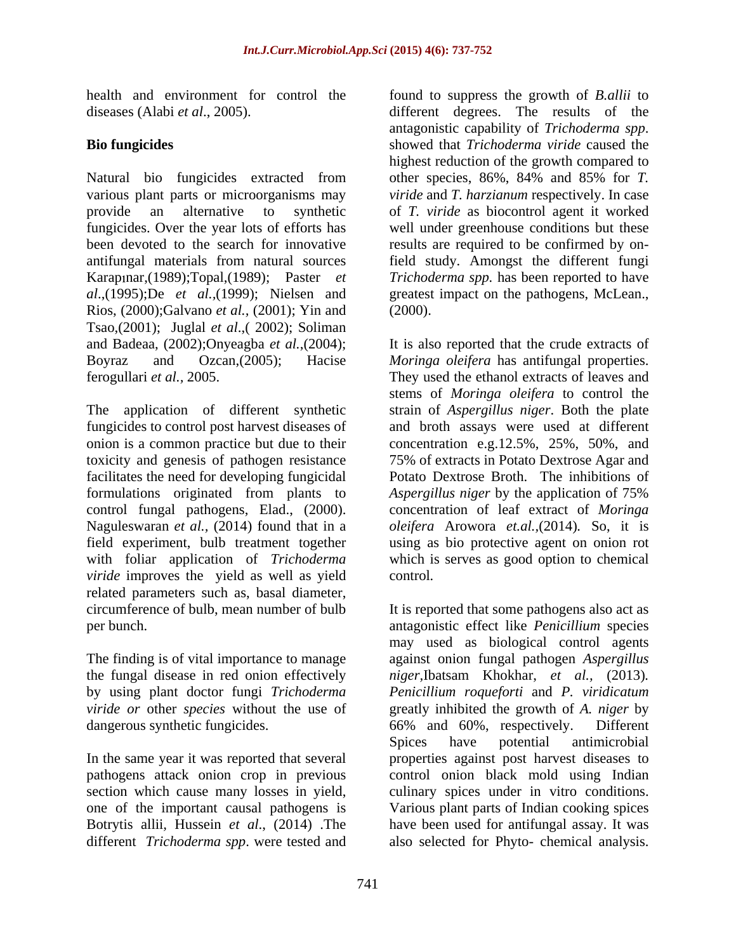health and environment for control the found to suppress the growth of *B.allii* to

Natural bio fungicides extracted from other species, 86%, 84% and 85% for *T.*  various plant parts or microorganisms may *viride* and *T. harzianum* respectively. In case provide an alternative to synthetic of *T. viride* as biocontrol agent it worked fungicides. Over the year lots of efforts has been devoted to the search for innovative results are required to be confirmed by onantifungal materials from natural sources Karap nar,(1989);Topal,(1989); Paster *et al*.,(1995);De *et al.,*(1999); Nielsen and greatest impact on the pathogens, McLean., Rios, (2000);Galvano *et al.,* (2001); Yin and Tsao,(2001); Juglal *et al*.,( 2002); Soliman and Badeaa, (2002);Onyeagba *et al.*,(2004); It is also reported that the crude extracts of Boyraz and Ozcan,(2005); Hacise *Moringa oleifera* has antifungal properties.

The application of different synthetic strain of *Aspergillus niger*. Both the plate fungicides to control post harvest diseases of and broth assays were used at different onion is a common practice but due to their concentration e.g.12.5%, 25%, 50%, and toxicity and genesis of pathogen resistance facilitates the need for developing fungicidal Potato Dextrose Broth. The inhibitions of formulations originated from plants to *Aspergillus niger* by the application of 75% control fungal pathogens, Elad., (2000). concentration of leaf extract of *Moringa*  Naguleswaran *et al.,* (2014) found that in a *oleifera* Arowora *et.al.,*(2014)*.* So, it is field experiment, bulb treatment together using as bio protective agent on onion rot with foliar application of *Trichoderma*  which is serves as good option to chemical *viride* improves the yield as well as yield control. related parameters such as, basal diameter, circumference of bulb, mean number of bulb

dangerous synthetic fungicides. 66% and 60%, respectively. Different

different *Trichoderma spp*. were tested and also selected for Phyto- chemical analysis.

diseases (Alabi *et al*., 2005). different degrees. The results of the **Bio fungicides** showed that *Trichoderma viride* caused the antagonistic capability of *Trichoderma spp*. showed that *Trichoderma viride* caused the highest reduction of the growth compared to well under greenhouse conditions but these field study. Amongst the different fungi *Trichoderma spp.* has been reported to have (2000).

ferogullari *et al.,* 2005. They used the ethanol extracts of leaves and stems of *Moringa oleifera* to control the 75% of extracts in Potato Dextrose Agar and *Aspergillus niger* by the application of 75% control*.*

circumference of bulb, mean number of bulb It is reported that some pathogens also act as per bunch. antagonistic effect like *Penicillium* species The finding is of vital importance to manage against onion fungalpathogen *Aspergillus* the fungal disease in red onion effectively *niger,*Ibatsam Khokhar, *et al.,* (2013)*.* by using plant doctor fungi *Trichoderma Penicillium roqueforti* and *P. viridicatum viride or* other *species* without the use of greatly inhibited the growth of *A. niger* by In the same year it was reported that several properties against postharvest diseases to pathogens attack onion crop in previous control onion black mold using Indian section which cause many losses in yield, culinary spices under in vitro conditions. one of the important causal pathogens is Various plant parts of Indian cooking spices Botrytis allii*,* Hussein *et al*., (2014) .The have been used for antifungal assay. It was may used as biological control agents 66% and 60%, respectively. Different Spices have potential antimicrobial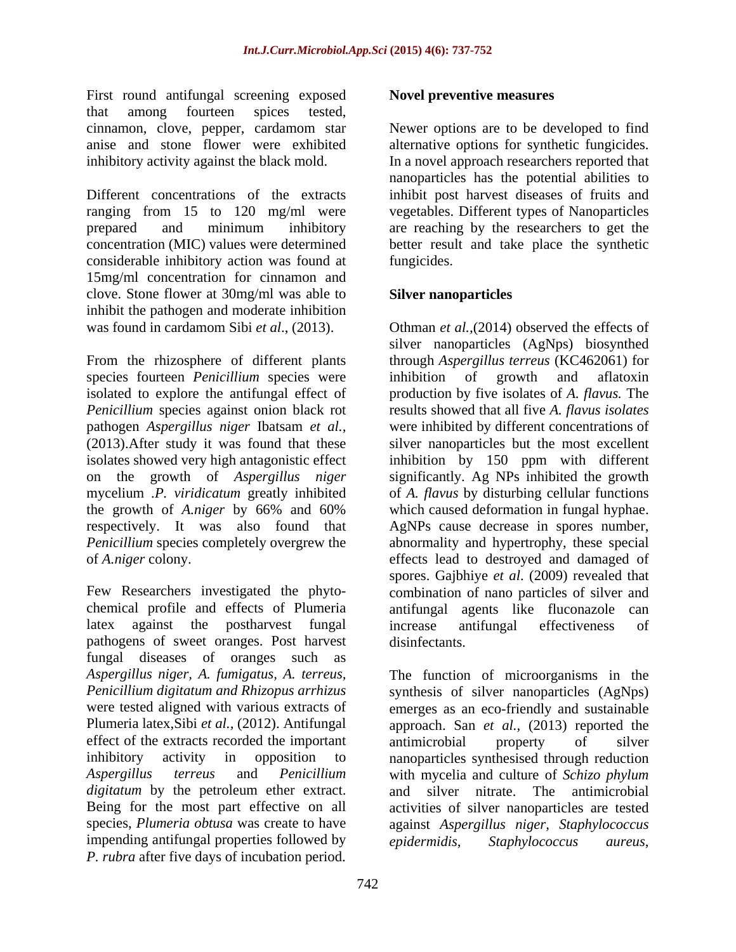First round antifungal screening exposed that among fourteen spices tested, cinnamon, clove, pepper, cardamom star

Different concentrations of the extracts inhibit post harvest diseases of fruits and ranging from 15 to 120 mg/ml were vegetables. Different types of Nanoparticles prepared and minimum inhibitory are reaching by the researchers to get the concentration (MIC) values were determined better result and take place the synthetic considerable inhibitory action was found at 15mg/ml concentration for cinnamon and clove. Stone flower at 30mg/ml was able to inhibit the pathogen and moderate inhibition

species fourteen *Penicillium* species were inhibition of growth and aflatoxin isolates showed very high antagonistic effect

Few Researchers investigated the phyto- combination of nano particles of silver and chemical profile and effects of Plumeria latex against the postharvest fungal increase antifungal effectiveness of pathogens of sweet oranges. Post harvest fungal diseases of oranges such as *Aspergillus niger, A. fumigatus, A. terreus,* effect of the extracts recorded the important antimicrobial property of silver *digitatum* by the petroleum ether extract. and silver impending antifungal properties followed by epidermidis, Staphylococcus aureus, *P. rubra* after five days of incubation period.

## **Novel preventive measures**

anise and stone flower were exhibited alternative options for synthetic fungicides. inhibitory activity against the black mold. In a novel approach researchers reported that Newer options are to be developed to find nanoparticles has the potential abilities to fungicides.

# **Silver nanoparticles**

was found in cardamom Sibi *et al*., (2013). Othman *et al.,*(2014) observed the effects of From the rhizosphere of different plants through *Aspergillus terreus* (KC462061) for isolated to explore the antifungal effect of production by five isolates of *A. flavus.* The *Penicillium* species against onion black rot results showed that all five *A. flavus isolates* pathogen *Aspergillus niger* Ibatsam *et al.,* were inhibited by different concentrations of (2013).After study it was found that these silver nanoparticles but the most excellent on the growth of *Aspergillus niger* significantly. Ag NPs inhibited the growth mycelium .*P. viridicatum* greatly inhibited of *A. flavus* by disturbing cellular functions the growth of *A.niger* by 66% and 60% respectively. It was also found that AgNPs cause decrease in spores number, *Penicillium* species completely overgrew the abnormality and hypertrophy, these special of *A.niger* colony. effects lead to destroyed and damaged of silver nanoparticles (AgNps) biosynthed inhibition of growth and aflatoxin inhibition by 150 ppm with different which caused deformation in fungal hyphae. spores. Gajbhiye *et al*. (2009) revealed that antifungal agents like fluconazole increase antifungal effectiveness of disinfectants.

*Penicillium digitatum and Rhizopus arrhizus* synthesis of silver nanoparticles (AgNps) were tested aligned with various extracts of emerges as an eco-friendly and sustainable Plumeria latex,Sibi *et al.,* (2012). Antifungal approach. San *et al.,* (2013) reported the inhibitory activity in opposition to nanoparticles synthesised through reduction *Aspergillus terreus* and *Penicillium*  with mycelia and culture of *Schizo phylum* Being for the most part effective on all activities of silver nanoparticles are tested species, *Plumeria obtusa* was create to have against *Aspergillus niger, Staphylococcus*  The function of microorganisms in the antimicrobial property of silver nitrate. The antimicrobial *epidermidis, Staphylococcus aureus,*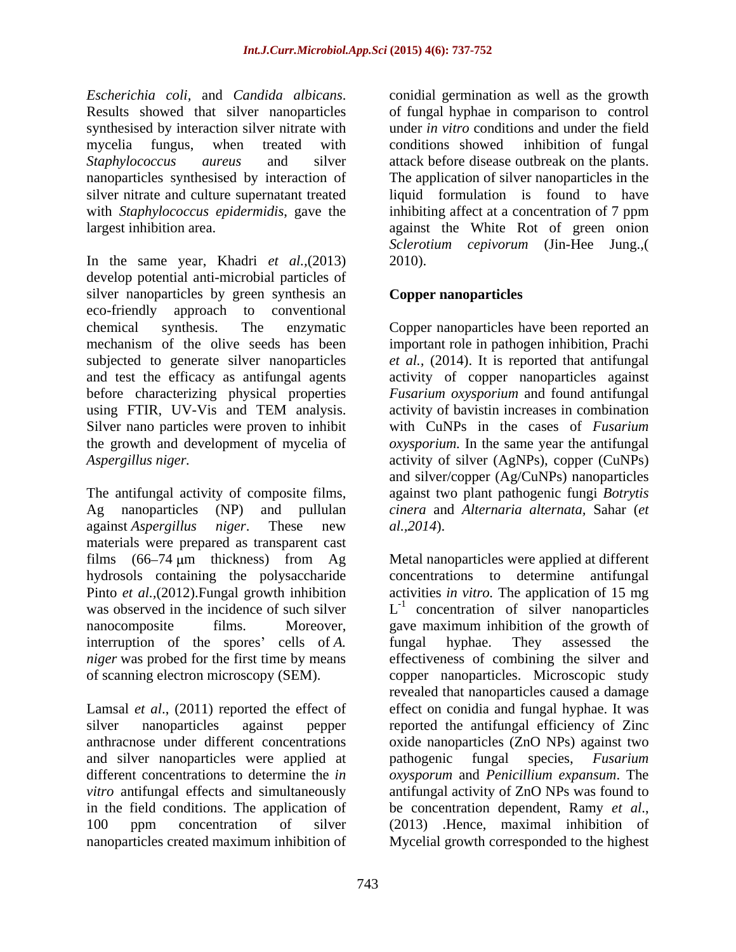synthesised by interaction silver nitrate with

In the same year, Khadri *et al.,*(2013) develop potential anti-microbial particles of silver nanoparticles by green synthesis an eco-friendly approach to conventional chemical synthesis. The enzymatic Copper nanoparticles have been reported an mechanism of the olive seeds has been important role in pathogen inhibition, Prachi subjected to generate silver nanoparticles *et al.,* (2014). It is reported that antifungal and test the efficacy as antifungal agents activity of copper nanoparticles against before characterizing physical properties using FTIR, UV-Vis and TEM analysis. <br>activity of bavistin increases in combination Silver nano particles were proven to inhibit<br>the growth and development of mycelia of the growth and development of mycelia of *oxysporium.* In the same year the antifungal *Aspergillus niger.* activity of silver (AgNPs), copper (CuNPs)

The antifungal activity of composite films, Ag nanoparticles (NP) and pullulan *cinera* and *Alternaria alternata,* Sahar (*et*  against *Aspergillus niger*. These new materials were prepared as transparent cast interruption of the spores' cells of *A*. It fungal hyphae. They assessed the *niger* was probed for the first time by means

Lamsal *et al*., (2011) reported the effect of and silver nanoparticles were applied at pathogenic fungal species, Fusarium in the field conditions. The application of be concentration dependent, Ramy et al., 100 ppm concentration of silver (2013) Hence, maximal inhibition of

*Escherichia coli,* and *Candida albicans*. conidial germination as well as the growth<br>Results showed that silver nanoparticles of fungal hyphae in comparison to control mycelia fungus, when treated with *Staphylococcus aureus* and silver attack before disease outbreak on the plants. nanoparticles synthesised by interaction of The application of silver nanoparticles in the silver nitrate and culture supernatant treated liquid formulation is found to have with *Staphylococcus epidermidis*, gave the inhibiting affect at a concentration of 7 ppm largest inhibition area. against the White Rot of green onion conidial germination as well as the growth of fungal hyphae in comparison to control under *in vitro* conditions and under the field conditions showed inhibition of fungal *Sclerotium cepivorum* (Jin-Hee Jung.,( 2010).

# **Copper nanoparticles**

*Fusarium oxysporium* and found antifungal activity of bavistin increases in combination with CuNPs in the cases of *Fusarium* and silver/copper (Ag/CuNPs) nanoparticles against two plant pathogenic fungi *Botrytis al.,2014*).

films (66 74 m thickness) from Ag Metal nanoparticles were applied at different hydrosols containing the polysaccharide concentrations to determine antifungal Pinto *et al.,*(2012).Fungal growth inhibition activities *in vitro.* The application of 15 mg was observed in the incidence of such silver  $L^{-1}$  concentration of silver nanoparticles nanocomposite films. Moreover, gave maximum inhibition of the growth of of scanning electron microscopy (SEM). copper nanoparticles. Microscopic study silver nanoparticles against pepper reported the antifungal efficiency of Zinc anthracnose under different concentrations oxide nanoparticles (ZnO NPs) against two different concentrations to determine the *in oxysporum* and *Penicillium expansum*. The *vitro* antifungal effects and simultaneously antifungal activity of ZnO NPs was found to nanoparticles created maximum inhibition of Mycelial growth corresponded to the highestfungal hyphae. They assessed the effectiveness of combining the silver and revealed that nanoparticles caused a damage effect on conidia and fungal hyphae. It was pathogenic fungal species, *Fusarium*  be concentration dependent, Ramy *et al*., (2013) .Hence, maximal inhibition of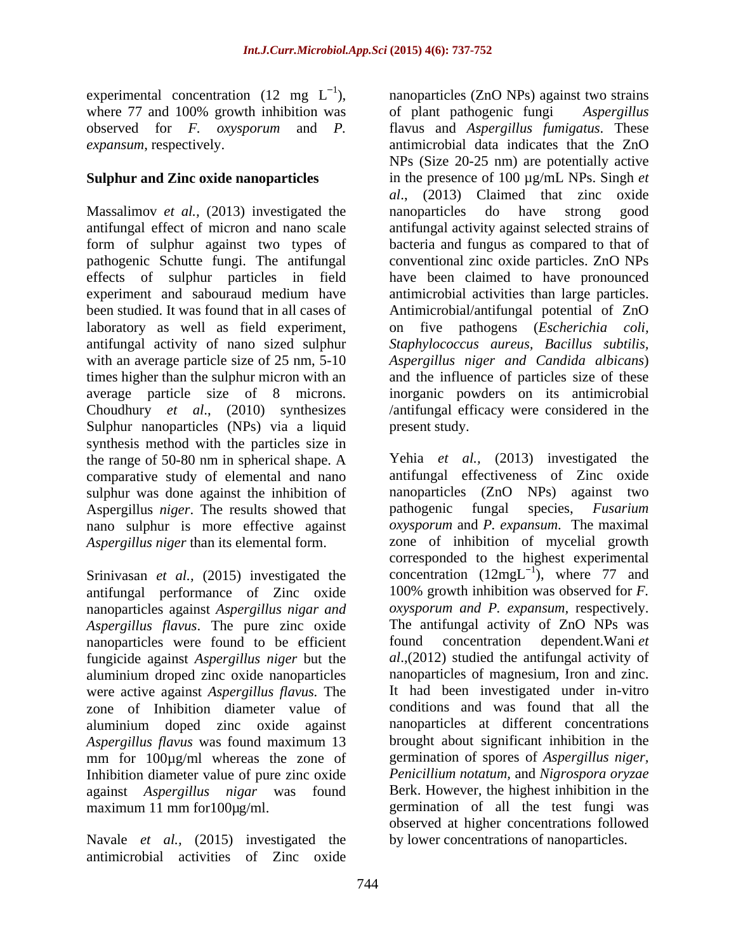experimental concentration (12 mg  $L^{-1}$ ), nanoparticles (ZnO NPs) against two strains where 77 and 100% growth inhibition was of plant pathogenic fungi Aspergillus

Massalimov *et al.,* (2013) investigated the Sulphur nanoparticles (NPs) via a liquid synthesis method with the particles size in the range of 50-80 nm in spherical shape. A comparative study of elemental and nano sulphur was done against the inhibition of Aspergillus *niger*. The results showed that nano sulphur is more effective against<br>Aspergillus niger than its elemental form.

Srinivasan *et al.,* (2015) investigated the antifungal performance of Zinc oxide nanoparticles against *Aspergillus nigar and Aspergillus flavus*. The pure zinc oxide nanoparticles were found to be efficient found concentration dependent. Wani et fungicide against *Aspergillus niger* but the were active against *Aspergillus flavus.* The zone of Inhibition diameter value of aluminium doped zinc oxide against *Aspergillus flavus* was found maximum 13 mm for 100µg/ml whereas the zone of Inhibition diameter value of pure zinc oxide against *Aspergillus nigar* was found

Navale *et al.,* (2015) investigated the antimicrobial activities of Zinc oxide

observed for *F. oxysporum* and *P.*  flavus and *Aspergillus fumigatus*. These *expansum*, respectively. antimicrobial data indicates that the ZnO Sulphur and Zinc oxide nanoparticles in the presence of 100 µg/mL NPs. Singh *et* antifungal effect of micron and nano scale antifungal activity against selected strains of form of sulphur against two types of bacteria and fungus as compared to that of pathogenic Schutte fungi. The antifungal conventional zinc oxide particles. ZnO NPs effects of sulphur particles in field have been claimed to have pronounced experiment and sabouraud medium have antimicrobial activities than large particles. been studied. It was found that in all cases of Antimicrobial/antifungal potential of ZnO laboratory as well as field experiment, on five pathogens (*Escherichia coli,* antifungal activity of nano sized sulphur *Staphylococcus aureus, Bacillus subtilis,* with an average particle size of 25 nm, 5-10 *Aspergillus niger and Candida albicans*) times higher than the sulphur micron with an and the influence of particles size of these average particle size of 8 microns. inorganic powders on its antimicrobial Choudhury *et al*., (2010) synthesizes /antifungal efficacy were considered in the of plant pathogenic fungi NPs (Size 20-25 nm) are potentially active *al*., (2013) Claimed that zinc oxide nanoparticles do have strong good present study.

*Aspergillus niger* than its elemental form. zone of inhibition of mycelial growth aluminium droped zinc oxide nanoparticles nanoparticles of magnesium, Iron and zinc. maximum 11 mm for100µg/ml. germination of all the test fungi was Yehia *et al.,* (2013) investigated the antifungal effectiveness of Zinc oxide nanoparticles (ZnO NPs) against two pathogenic fungal species, *Fusarium oxysporum* and *P. expansum*. The maximal corresponded to the highest experimental concentration  $(12mgL^{-1})$ , where 77 and  $\frac{1}{1}$  where 77 and ), where 77 and 100% growth inhibition was observed for *F. oxysporum and P. expansum,* respectively. The antifungal activity of ZnO NPs was found concentration dependent.Wani *et al*.,(2012) studied the antifungal activity of It had been investigated under in-vitro conditions and was found that all the nanoparticles at different concentrations brought about significant inhibition in the germination of spores of *Aspergillus niger, Penicillium notatum,* and *Nigrospora oryzae* Berk. However, the highest inhibition in the observed at higher concentrations followed by lower concentrations of nanoparticles.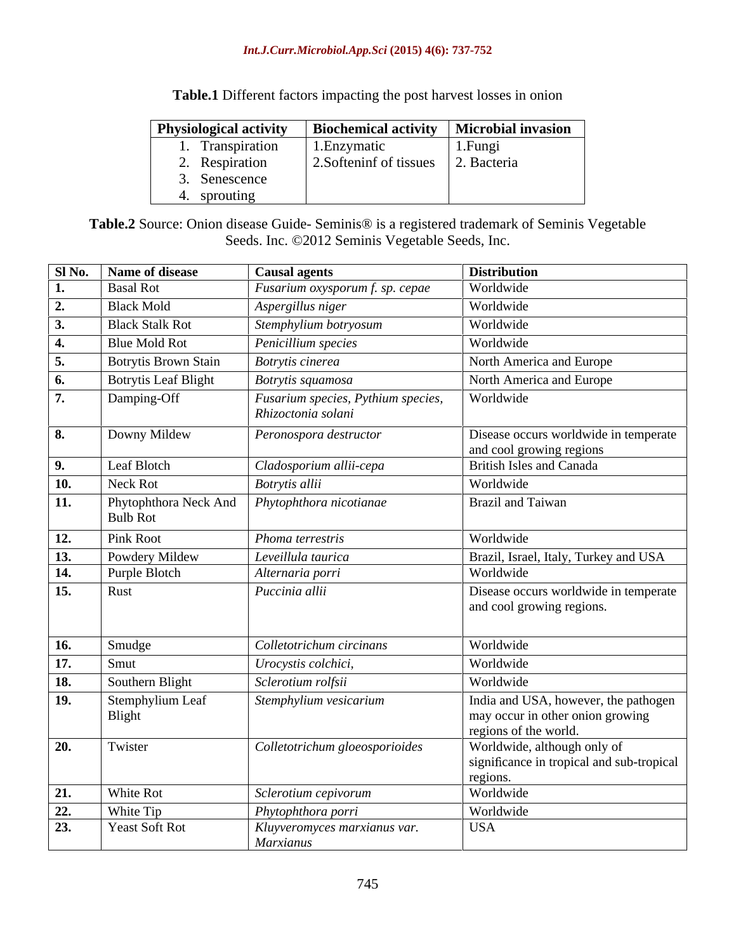**Table.1** Different factors impacting the post harvest losses in onion

| <b>Physiological activity</b> | <b>Biochemical activity</b> | <b>Microbial invasion</b> |
|-------------------------------|-----------------------------|---------------------------|
| Transpiration                 | 1. Enzymatic                | 1.Fungi                   |
| Respiration                   | 2. Softeninf of tissues     | 2. Bacteria               |
| Senescence                    |                             |                           |
| sprouting                     |                             |                           |

**Table.2** Source: Onion disease Guide- Seminis® is a registered trademark of Seminis Vegetable Seeds. Inc. ©2012 Seminis Vegetable Seeds, Inc.

|            | Sl No.   Name of disease    | <b>Causal agents</b>                                     | <b>Distribution</b>                                                                               |
|------------|-----------------------------|----------------------------------------------------------|---------------------------------------------------------------------------------------------------|
|            | <b>Basal Rot</b>            | Fusarium oxysporum f. sp. cepae                          | Worldwide                                                                                         |
|            | <b>Black Mold</b>           | Aspergillus niger                                        | Worldwide                                                                                         |
|            | <b>Black Stalk Rot</b>      | Stemphylium botryosum                                    | Worldwide                                                                                         |
|            | <b>Blue Mold Rot</b>        | Penicillium species                                      | Worldwide                                                                                         |
|            | <b>Botrytis Brown Stain</b> | Botrytis cinerea                                         | North America and Europe                                                                          |
|            | <b>Botrytis Leaf Blight</b> | <b>Botrytis squamosa</b>                                 | North America and Europe                                                                          |
|            | Damping-Off                 | Fusarium species, Pythium species,<br>Rhizoctonia solani | Worldwide                                                                                         |
|            | Downy Mildew                | Peronospora destructor                                   | Disease occurs worldwide in temperate<br>and cool growing regions                                 |
|            | Leaf Blotch                 | Cladosporium allii-cepa                                  | <b>British Isles and Canada</b>                                                                   |
| 10.        | Neck Rot                    | Botrytis allii                                           | Worldwide                                                                                         |
| 11.        | <b>Bulb</b> Rot             | Phytophthora Neck And <i>Phytophthora nicotianae</i>     | Brazil and Taiwan                                                                                 |
| 12.        | Pink Root                   | Phoma terrestris                                         | Worldwide                                                                                         |
| 13.        | Powdery Mildew              | Leveillula taurica                                       | Brazil, Israel, Italy, Turkey and USA                                                             |
| 14.        | Purple Blotch               | Alternaria porri                                         | Worldwide                                                                                         |
| 15.        | Rust                        | Puccinia allii                                           | Disease occurs worldwide in temperate<br>and cool growing regions.                                |
| 16.        | Smudge                      | Colletotrichum circinans                                 | Worldwide                                                                                         |
| 17.        | Smut                        | Urocystis colchici,                                      | Worldwide                                                                                         |
| 18.        | Southern Blight             | Sclerotium rolfsii                                       | Worldwide                                                                                         |
| <b>19.</b> | Stemphylium Leaf<br>Blight  | Stemphylium vesicarium                                   | India and USA, however, the pathogen<br>may occur in other onion growing<br>regions of the world. |
| 20.        | Twister                     | Colletotrichum gloeosporioides                           | Worldwide, although only of<br>significance in tropical and sub-tropical<br>regions.              |
| 21.        | White Rot                   | $\overline{\mathcal{S}}$ <i>clerotium cepivorum</i>      | Worldwide                                                                                         |
| 22.        | White Tip                   | Phytophthora porri                                       | Worldwide                                                                                         |
| 23.        | <b>Yeast Soft Rot</b>       | Kluyveromyces marxianus var.<br>Marxianus                | <b>USA</b>                                                                                        |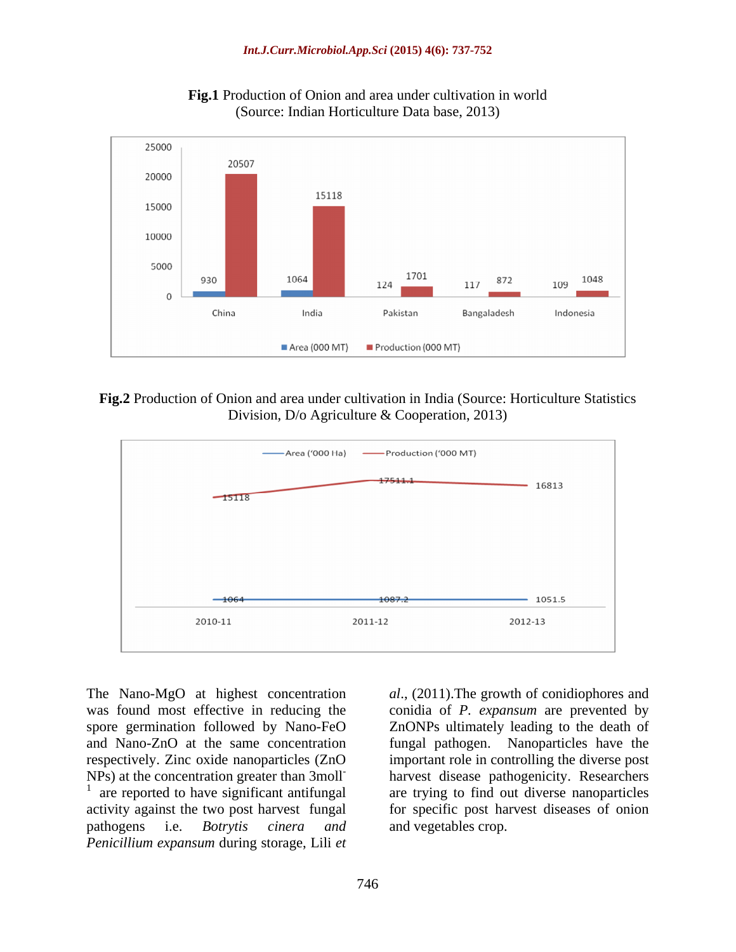

**Fig.1** Production of Onion and area under cultivation in world (Source: Indian Horticulture Data base, 2013)

**Fig.2** Production of Onion and area under cultivation in India (Source: Horticulture Statistics Division, D/o Agriculture & Cooperation, 2013)



The Nano-MgO at highest concentration *al*., (2011).The growth of conidiophores and was found most effective in reducing the conidia of *P. expansum* are prevented by spore germination followed by Nano-FeO ZnONPs ultimately leading to the death of and Nano-ZnO at the same concentration fungal pathogen. Nanoparticles have the respectively. Zinc oxide nanoparticles (ZnO important role in controlling the diverse post  $NPs$ ) at the concentration greater than 3 moll-<br> $\frac{1}{1}$  are reported to have significant ortifineal are trying to find out diverse paperwiseles are reported to have significant antifungal activity against the two post harvest fungal for specific post harvest diseases of onion pathogens i.e. *Botrytis cinera and Penicillium expansum* during storage, Lili *et* 

are trying to find out diverse nanoparticles and vegetables crop.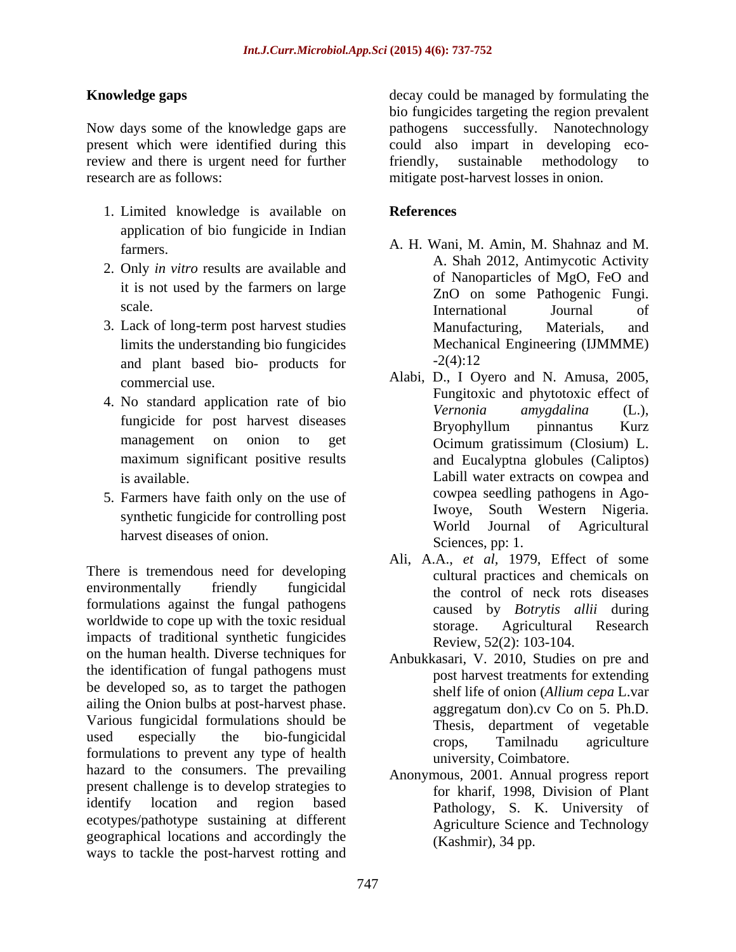Now days some of the knowledge gaps are pathogens successfully. Nanotechnology present which were identified during this could also impart in developing ecoreview and there is urgent need for further friendly, sustainable methodology to research are as follows: mitigate post-harvest losses in onion.

- 1. Limited knowledge is available on application of bio fungicide in Indian
- 2. Only *in vitro* results are available and
- limits the understanding bio fungicides and plant based bio- products for  $-2(4):12$
- 
- harvest diseases of onion.

There is tremendous need for developing environmentally friendly fungicidal the control of neck rots diseases formulations against the fungal pathogens worldwide to cope up with the toxic residual storage. Agricultural Research impacts of traditional synthetic fungicides on the human health. Diverse techniques for the identification of fungal pathogens must be developed so, as to target the pathogen ailing the Onion bulbs at post-harvest phase. Various fungicidal formulations should be Thesis, used especially the bio-fungicidal crops Tamilnadu agriculture used especially the bio-fungicidal crops, Tamilnadu agriculture<br>formulations to prevent any type of health provident combators of the combators hazard to the consumers. The prevailing present challenge is to develop strategies to identify location and region based Pathology, S. K. University of ecotypes/pathotype sustaining at different geographical locations and accordingly the ways to tackle the post-harvest rotting and

**Knowledge gaps Example 2 Conserverse in the could be managed by formulating the Knowledge gaps** bio fungicides targeting the region prevalent friendly, sustainable methodology to

## **References**

- farmers. A. H. Wani, M. Amin, M. Shahnaz and M. it is not used by the farmers on large and the contract of the particles of  $M_{\rm g}$ , i.e. the contract of  $\alpha$  and  $\alpha$  and  $\alpha$  and  $\alpha$  and  $\alpha$  and  $\alpha$  and  $\alpha$  and  $\alpha$  and  $\alpha$  and  $\alpha$  and  $\alpha$  and  $\alpha$  and  $\alpha$  an scale. The international and Iournal of 3. Lack of long-term post harvest studies A. Shah 2012, Antimycotic Activity of Nanoparticles of MgO, FeO and ZnO on some Pathogenic Fungi. International Journal of Manufacturing, Materials, and Mechanical Engineering (IJMMME) -2(4):12
- commercial use. Alabi, D., I Oyero and N. Amusa, 2005, 4. No standard application rate of bio<br> *Vernonia amygalina* (L.), fungicide for post harvest diseases<br>Bryophyllum pinnantus Kurz management on onion to get **Ocimum** gratissimum (Closium) L. maximum significant positive results and Eucalyptna globules (Caliptos) is available. Labill water extracts on cowpea and 5. Farmers have faith only on the use of the cowpea seedling pathogens in Ago-<br>Iwoye, South Western Nigeria. synthetic fungicide for controlling post<br>World Journal of Agricultural Fungitoxic and phytotoxic effect of *Vernonia amygdalina* (L.), Bryophyllum pinnantus Kurz Ocimum gratissimum (Closium) L. cowpea seedling pathogens in Ago-Iwoye, South Western Nigeria. World Journal of Agricultural Sciences, pp: 1.
	- Ali, A.A., *et al,* 1979, Effect of some cultural practices and chemicals on caused by *Botrytis allii* during storage. Agricultural Research Review, 52(2): 103-104.
	- Anbukkasari, V. 2010, Studies on pre and post harvest treatments for extending shelf life of onion (*Allium cepa* L.var aggregatum don).cv Co on 5. Ph.D. department of vegetable crops, Tamilnadu agriculture university, Coimbatore.
	- Anonymous, 2001. Annual progress report for kharif, 1998, Division of Plant Agriculture Science and Technology (Kashmir), 34 pp.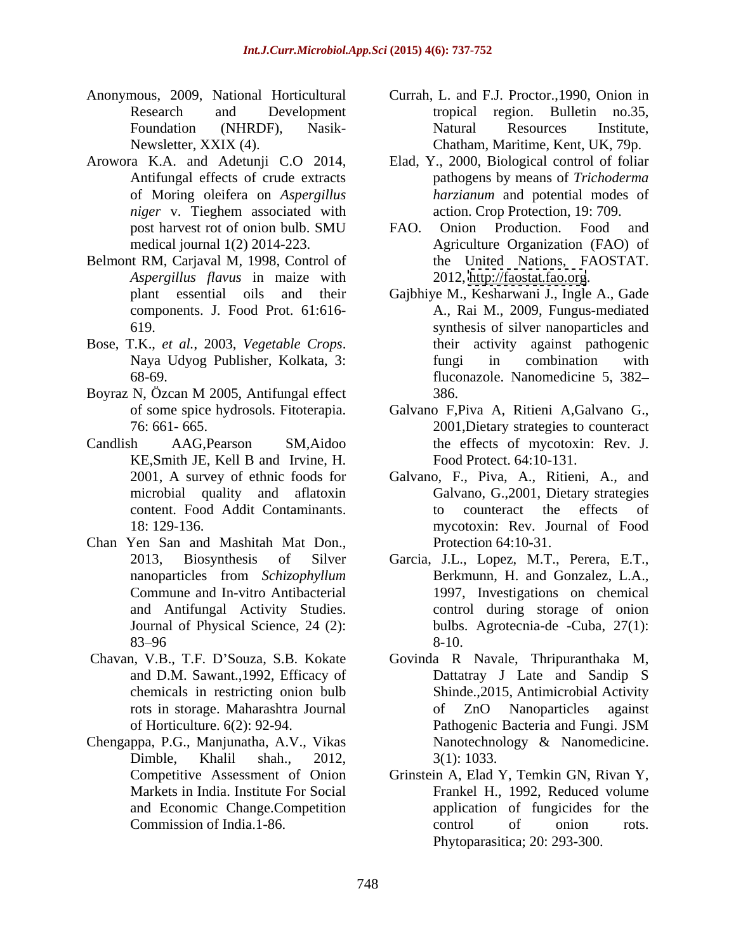- 
- 
- Belmont RM, Carjaval M, 1998, Control of *Aspergillus flavus* in maize with components. J. Food Prot. 61:616-
- 
- Boyraz N, Özcan M 2005, Antifungal effect
- KE,Smith JE, Kell B and Irvine, H.
- Chan Yen San and Mashitah Mat Don.,
- 
- and Economic Change.Competition
- Anonymous, 2009, National Horticultural Currah, L. and F.J. Proctor.,1990, Onion in Research and Development tropical region. Bulletin no.35, Foundation (NHRDF), Nasik- Newsletter, XXIX (4). Chatham, Maritime, Kent, UK, 79p. Natural Resources Institute,
- Arowora K.A. and Adetunji C.O 2014, Elad, Y., 2000, Biological control of foliar Antifungal effects of crude extracts pathogens by means of *Trichoderma*  of Moring oleifera on *Aspergillus niger* v. Tieghem associated with *harzianum* and potential modes of action. Crop Protection, 19: 709.
	- post harvest rot of onion bulb. SMU FAO. Onion Production. Food and medical journal 1(2) 2014-223. Agriculture Organization (FAO) of FAO. Onion Production. Food and the United Nations, FAOSTAT. 2012,<http://faostat.fao.org>.
- plant essential oils and their Gajbhiye M., Kesharwani J., Ingle A., Gade 619. synthesis of silver nanoparticles and Bose, T.K., *et al.*, 2003, *Vegetable Crops*. their activity against pathogenic Naya Udyog Publisher, Kolkata, 3: fungi in combination with 68-69. fluconazole. Nanomedicine 5, 382 A., Rai M., 2009, Fungus-mediated their activity against pathogenic fungi in combination with 386.
- of some spice hydrosols. Fitoterapia. Galvano F,Piva A, Ritieni A,Galvano G., 76: 661- 665. 2001,Dietary strategies to counteract Candlish AAG,Pearson SM,Aidoo the effects of mycotoxin: Rev. J. Food Protect. 64:10-131.
	- 2001, A survey of ethnic foods for Galvano, F., Piva, A., Ritieni, A., and microbial quality and aflatoxin Galvano, G.,2001, Dietary strategies content. Food Addit Contaminants. 18: 129-136. mycotoxin: Rev. Journal of Food to counteract the effects of Protection 64:10-31.
	- 2013, Biosynthesis of Silver Garcia, J.L., Lopez, M.T., Perera, E.T., nanoparticles from *Schizophyllum* Commune and In-vitro Antibacterial 1997, Investigations on chemical and Antifungal Activity Studies. control during storage of onion Journal of Physical Science, 24 (2): bulbs. Agrotecnia-de -Cuba, 27(1):  $83 - 96$   $8 - 10$ . Berkmunn, H. and Gonzalez, L.A., 8-10.
- Chavan, V.B., T.F. D'Souza, S.B. Kokate Govinda R Navale, Thripuranthaka M, and D.M. Sawant.,1992, Efficacy of Dattatray J Late and Sandip S chemicals in restricting onion bulb Shinde.,2015, Antimicrobial Activity rots in storage. Maharashtra Journal of Horticulture. 6(2): 92-94. Chengappa, P.G., Manjunatha, A.V., Vikas Dimble, Khalil shah., 2012, of ZnO Nanoparticles against Pathogenic Bacteria and Fungi. JSM Nanotechnology & Nanomedicine. 3(1): 1033.
	- Competitive Assessment of Onion Grinstein A, Elad Y, Temkin GN, Rivan Y, Markets in India. Institute For Social Frankel H., 1992, Reduced volume Commission of India.1-86. application of fungicides for the control of onion rots. Phytoparasitica; 20: 293-300.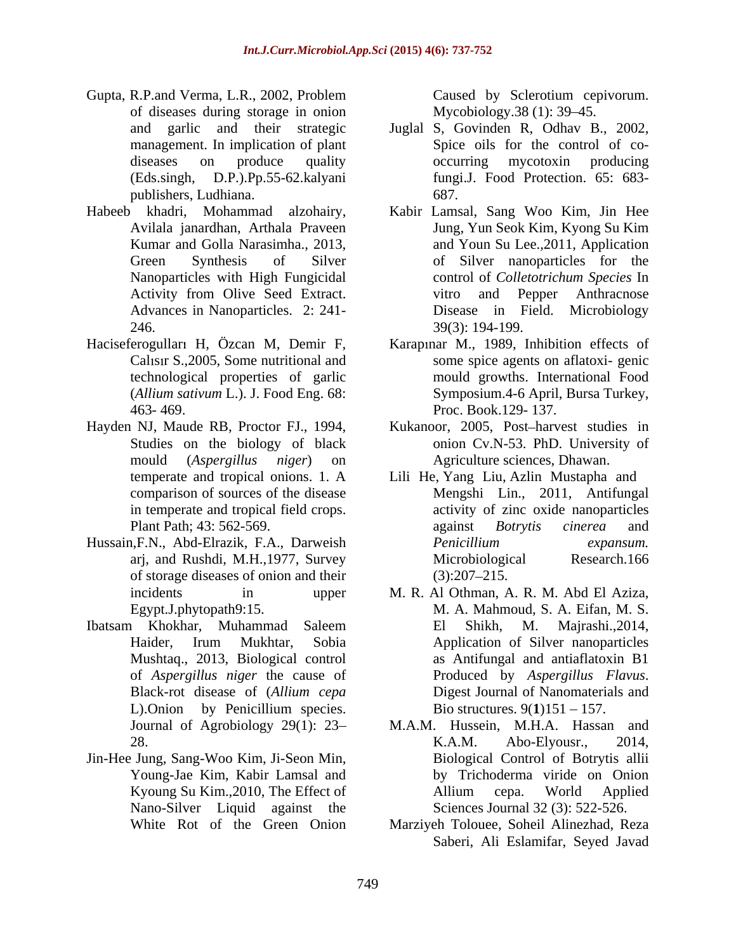- Gupta, R.P.and Verma, L.R., 2002, Problem Caused by Sclerotium cepivorum. of diseases during storage in onion publishers, Ludhiana.
- 
- 
- 
- Hussain,F.N., Abd-Elrazik, F.A., Darweish of storage diseases of onion and their
- 
- Jin-Hee Jung, Sang-Woo Kim, Ji-Seon Min, Nano-Silver Liquid against the

Caused by Sclerotium cepivorum. Mycobiology.38 (1): 39–45.

- and garlic and their strategic Juglal S, Govinden R, Odhav B., 2002, management. In implication of plant Spice oils for the control of co diseases on produce quality occurring mycotoxin producing (Eds.singh, D.P.).Pp.55-62.kalyani fungi.J. Food Protection. 65: 683 occurring mycotoxin producing 687.
- Habeeb khadri, Mohammad alzohairy, Kabir Lamsal, Sang Woo Kim, Jin Hee Avilala janardhan, Arthala Praveen Jung, Yun Seok Kim, Kyong Su Kim Kumar and Golla Narasimha., 2013, and Youn Su Lee., 2011, Application Green Synthesis of Silver of Silver nanoparticles for the Nanoparticles with High Fungicidal control of *Colletotrichum Species* In Activity from Olive Seed Extract. The vitro and Pepper Anthracnose Advances in Nanoparticles. 2: 241- Disease in Field. Microbiology 246. 39(3): 194-199. vitro and Pepper Anthracnose
- Haciseferogulları H, Özcan M, Demir F, Karapınar M., 1989, Inhibition effects of Calisin S., 2005, Some nutritional and some spice agents on aflatoxi-genic technological properties of garlic mould growths. International Food (*Allium sativum* L.). J. Food Eng. 68: Symposium.4-6 April, Bursa Turkey, 463- 469. Proc. Book.129- 137.
- Hayden NJ, Maude RB, Proctor FJ., 1994, Kukanoor, 2005, Post-harvest studies in Studies on the biology of black onion Cv.N-53. PhD. University of mould (*Aspergillus niger*) on Agriculture sciences, Dhawan.
	- temperate and tropical onions. 1. A Lili He, Yang Liu, Azlin Mustapha and comparison of sources of the disease Mengshi Lin., 2011, Antifungal in temperate and tropical field crops. activity of zinc oxide nanoparticles Plant Path; 43: 562-569. against Botrytis cinerea and arj, and Rushdi, M.H.,1977, Survey against *Botrytis cinerea* and *Penicillium expansum.* Microbiological Research.166  $(3):207-215.$
- incidents in upper M. R. Al Othman, A. R. M. Abd El Aziza, Egypt.J.phytopath9:15. M. A. Mahmoud, S. A. Eifan, M. S. Ibatsam Khokhar, Muhammad Saleem Haider, Irum Mukhtar, Sobia Mushtaq., 2013, Biological control as Antifungal and antiaflatoxin B1 of *Aspergillus niger* the cause of Black-rot disease of (*Allium cepa* L).Onion by Penicillium species. Bio structures. 9(1)151 – 157. El Shikh, M. Majrashi.,2014, Application of Silver nanoparticles Produced by *Aspergillus Flavus*. Digest Journal of Nanomaterials and Bio structures.  $9(1)151 - 157$ .
	- Journal of Agrobiology 29(1): 23 M.A.M. Hussein, M.H.A. Hassan and 28. K.A.M. Abo-Elyousr., 2014, Young-Jae Kim, Kabir Lamsal and by Trichoderma viride on Onion Kyoung Su Kim., 2010, The Effect of Allium cepa. World Applied K.A.M. Abo-Elyousr., 2014, Biological Control of Botrytis allii Allium cepa. World Applied Sciences Journal 32 (3): 522-526.
	- White Rot of the Green Onion Marziyeh Tolouee, Soheil Alinezhad, Reza Saberi, Ali Eslamifar, Seyed Javad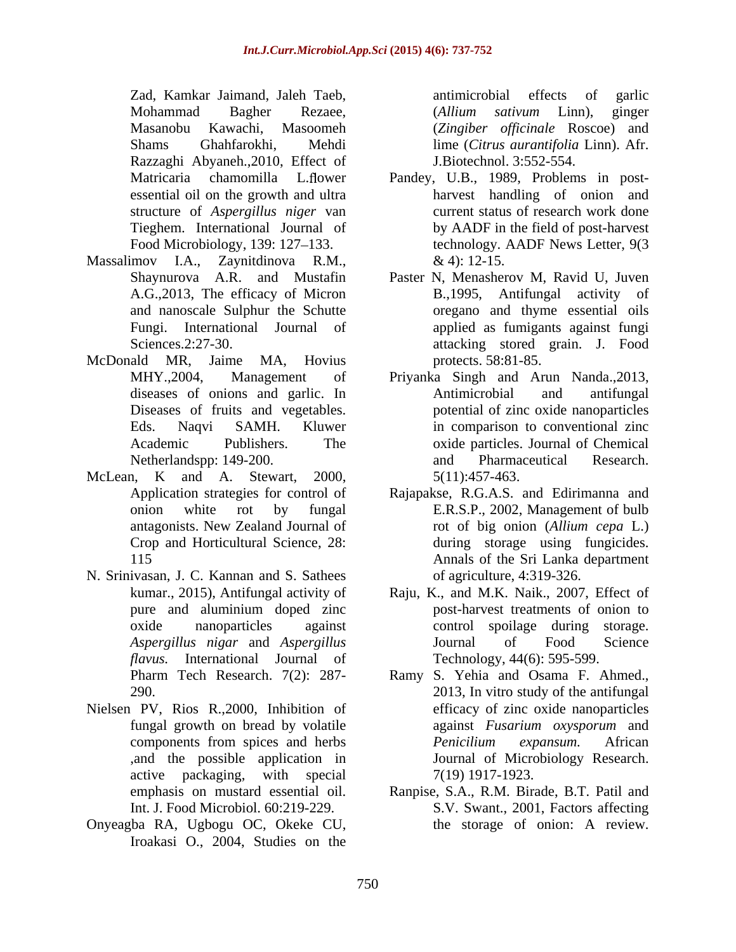Zad, Kamkar Jaimand, Jaleh Taeb, Mohammad Bagher Rezaee, *(Allium sativum* Linn), ginger Masanobu Kawachi, Masoomeh (*Zingiber of icinale* Roscoe) and Shams Ghahfarokhi, Mehdi lime (*Citrus aurantifolia* Linn). Afr. Razzaghi Abyaneh.,2010, Effect of structure of *Aspergillus niger* van

- Massalimov I.A., Zaynitdinova R.M.,  $\& 4$ : 12-15.
- McDonald MR, Jaime MA, Hovius
- McLean, K and A. Stewart, 2000,
- N. Srinivasan, J. C. Kannan and S. Sathees *flavus.* International Journal of
- Nielsen PV, Rios R.,2000, Inhibition of
- Onyeagba RA, Ugbogu OC, Okeke CU, Iroakasi O., 2004, Studies on the

antimicrobial effects of garlic (*Allium sativum* Linn), ginger J.Biotechnol. 3:552-554.

- Matricaria chamomilla L.flower Pandey, U.B., 1989, Problems in postessential oil on the growth and ultra harvest handling of onion and Tieghem. International Journal of by AADF in the field of post-harvest Food Microbiology, 139: 127–133. technology. AADF News Letter, 9(3 current status of research work done  $\&$  4): 12-15.
- Shaynurova A.R. and Mustafin Paster N, Menasherov M, Ravid U, Juven A.G.,2013, The efficacy of Micron B.,1995, Antifungal activity of and nanoscale Sulphur the Schutte oregano and thyme essential oils Fungi. International Journal of applied as fumigants against fungi Sciences.2:27-30. attacking stored grain. J. Food protects. 58:81-85.
- MHY.,2004, Management of Priyanka Singh and Arun Nanda.,2013, diseases of onions and garlic. In Antimicrobial and antifungal Diseases of fruits and vegetables. potential of zinc oxide nanoparticles Eds. Naqvi SAMH. Kluwer in comparison to conventional zinc Academic Publishers. The oxide particles. Journal of Chemical Netherlandspp: 149-200. The contract and Pharmaceutical Research. Antimicrobial and antifungal and Pharmaceutical Research. 5(11):457-463.
- Application strategies for control of Rajapakse, R.G.A.S. and Edirimanna and onion white rot by fungal E.R.S.P., 2002, Management of bulb antagonists. New Zealand Journal of rot of big onion (Allium cepa L.) Crop and Horticultural Science, 28: during storage using fungicides. 115 Annals of the Sri Lanka department rot of big onion (*Allium cepa* L.) of agriculture, 4:319-326.
- kumar., 2015), Antifungal activity of Raju, K., and M.K. Naik., 2007, Effect of pure and aluminium doped zinc oxide nanoparticles against control spoilage during storage. *Aspergillus nigar* and *Aspergillus*  post-harvest treatments of onion to Journal of Food Science Technology, 44(6): 595-599.
- Pharm Tech Research. 7(2): 287- Ramy S. Yehia and Osama F. Ahmed., 290. 2013, In vitro study of the antifungal fungal growth on bread by volatile against Fusarium oxysporum and components from spices and herbs *Penicilium expansum*. African ,and the possible application in Journal of Microbiology Research. active packaging, with special  $7(19)$  1917-1923. efficacy of zinc oxide nanoparticles against *Fusarium oxysporum* and *Penicilium expansum.* African 7(19) 1917-1923.
- emphasis on mustard essential oil. Ranpise, S.A., R.M. Birade, B.T. Patil and Int. J. Food Microbiol. 60:219-229. S.V. Swant., 2001, Factors affecting the storage of onion: A review.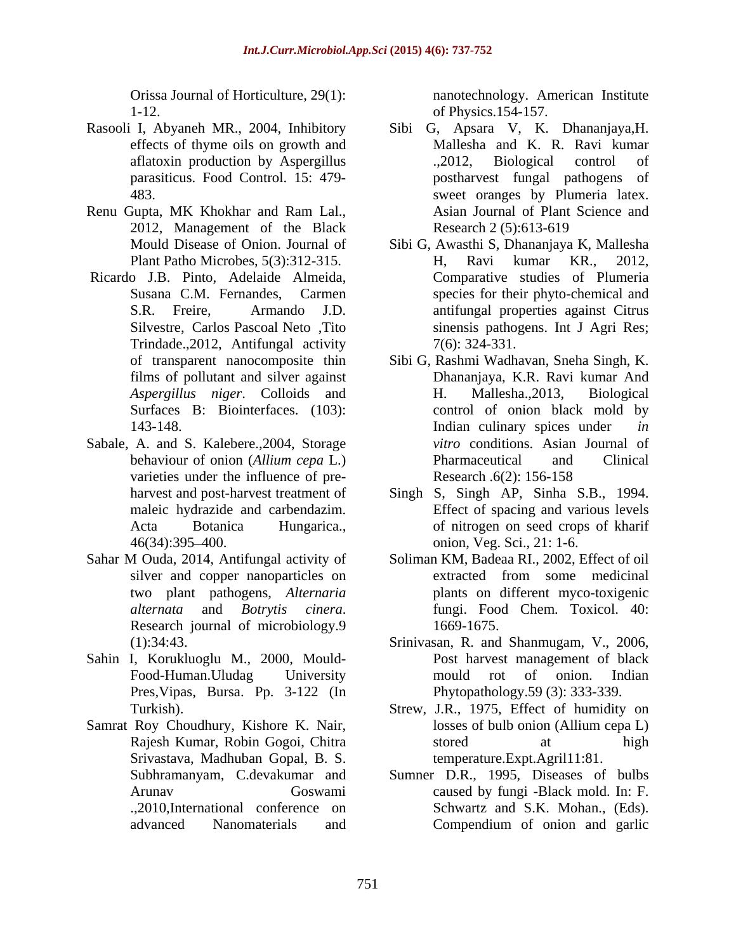1-12. of Physics.154-157.

- Rasooli I, Abyaneh MR., 2004, Inhibitory
- Renu Gupta, MK Khokhar and Ram Lal., 2012, Management of the Black Research 2 (5):613-619
- Trindade.,2012, Antifungal activity
- Sabale, A. and S. Kalebere.,2004, Storage varieties under the influence of pre-<br>Research .6(2): 156-158
- Sahar M Ouda, 2014, Antifungal activity of
- Sahin I, Korukluoglu M., 2000, Mould- Pres,Vipas, Bursa. Pp. 3-122 (In
- Samrat Roy Choudhury, Kishore K. Nair, losses of bulb onion (Allium cepa L) Srivastava, Madhuban Gopal, B. S.

Orissa Journal of Horticulture, 29(1): nanotechnology. American Institute

- effects of thyme oils on growth and Mallesha and K. R. Ravi kumar aflatoxin production by Aspergillus ... 2012, Biological control of parasiticus. Food Control. 15: 479- postharvest fungal pathogens of 483. sweet oranges by Plumeria latex. Sibi G, Apsara V, K. Dhananjaya,H. .,2012, Biological control of Asian Journal of Plant Science and Research 2 (5):613-619
- Mould Disease of Onion. Journal of Sibi G, Awasthi S, Dhananjaya K, Mallesha Plant Patho Microbes, 5(3):312-315. Ricardo J.B. Pinto, Adelaide Almeida, Comparative studies of Plumeria<br>Susana C.M. Fernandes, Carmen species for their phyto-chemical and S.R. Freire, Armando J.D. antifungal properties against Citrus Silvestre, Carlos Pascoal Neto, Tito sinensis pathogens. Int J Agri Res; H, Ravi kumar KR., 2012, Comparative studies of Plumeria species for their phyto-chemical and 7(6): 324-331.
	- of transparent nanocomposite thin Sibi G, Rashmi Wadhavan, Sneha Singh, K. films of pollutant and silver against Dhananjaya, K.R. Ravi kumar And *Aspergillus niger*. Colloids and Surfaces B: Biointerfaces. (103): control of onion black mold by 143-148. Indian culinary spices under *in*  behaviour of onion (*Allium cepa* L.) H. Mallesha.,2013, Biological *vitro* conditions. Asian Journal of Pharmaceutical and Clinical Research .6(2): 156-158
	- harvest and post-harvest treatment of Singh S, Singh AP, Sinha S.B., 1994. maleic hydrazide and carbendazim. Effect of spacing and various levels Acta Botanica Hungarica., of nitrogen on seed crops of kharif 46(34):395–400. comion, Veg. Sci., 21: 1-6. onion, Veg. Sci., 21: 1-6.
	- silver and copper nanoparticles on extracted from some medicinal two plant pathogens, *Alternaria*  plants on different myco-toxigenic *alternata* and *Botrytis cinera*. fungi. Food Chem. Toxicol. 40:<br>Research journal of microbiology.9 1669-1675. Soliman KM, Badeaa RI., 2002, Effect of oil extracted from some medicinal fungi. Food Chem. Toxicol. 40: 1669-1675.
	- (1):34:43. Srinivasan, R. and Shanmugam, V., 2006, Food-Human.Uludag University Post harvest management of black mould rot of onion. Indian Phytopathology.59 (3): 333-339.
	- Turkish). Strew, J.R., 1975, Effect of humidity on Rajesh Kumar, Robin Gogoi, Chitra losses of bulb onion (Allium cepa L) stored at high temperature.Expt.Agril11:81.
	- Subhramanyam, C.devakumar and Sumner D.R., 1995, Diseases of bulbs Arunav Goswami caused by fungi -Black mold. In: F. .,2010,International conference on Schwartz and S.K. Mohan., (Eds). advanced Nanomaterials and Compendium of onion and garlic